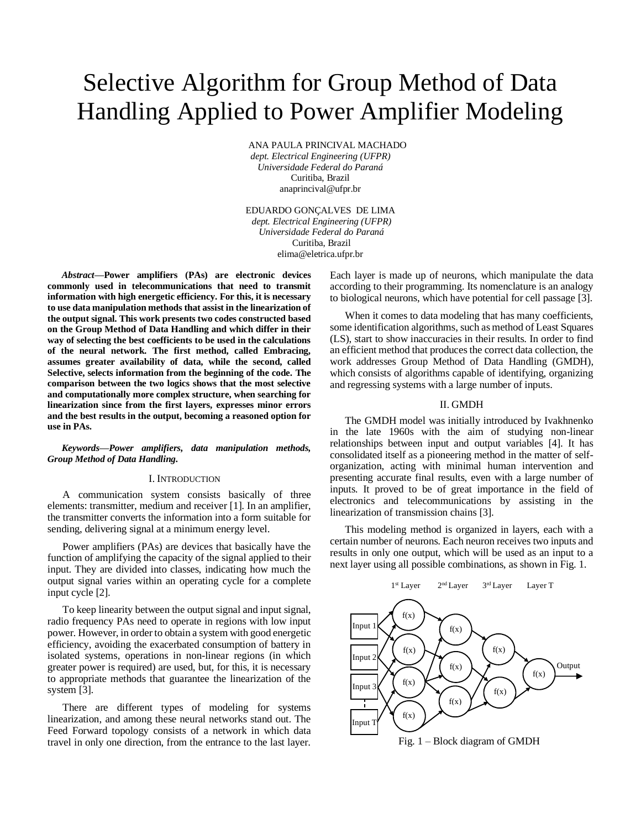# Selective Algorithm for Group Method of Data Handling Applied to Power Amplifier Modeling

ANA PAULA PRINCIVAL MACHADO *dept. Electrical Engineering (UFPR) Universidade Federal do Paraná* Curitiba, Brazil anaprincival@ufpr.br

EDUARDO GONÇALVES DE LIMA *dept. Electrical Engineering (UFPR) Universidade Federal do Paraná* Curitiba, Brazil elima@eletrica.ufpr.br

*Abstract***—Power amplifiers (PAs) are electronic devices commonly used in telecommunications that need to transmit information with high energetic efficiency. For this, it is necessary to use data manipulation methods that assist in the linearization of the output signal. This work presents two codes constructed based on the Group Method of Data Handling and which differ in their way of selecting the best coefficients to be used in the calculations of the neural network. The first method, called Embracing, assumes greater availability of data, while the second, called Selective, selects information from the beginning of the code. The comparison between the two logics shows that the most selective and computationally more complex structure, when searching for linearization since from the first layers, expresses minor errors and the best results in the output, becoming a reasoned option for use in PAs.** 

## *Keywords—Power amplifiers, data manipulation methods, Group Method of Data Handling.*

## I. INTRODUCTION

A communication system consists basically of three elements: transmitter, medium and receiver [1]. In an amplifier, the transmitter converts the information into a form suitable for sending, delivering signal at a minimum energy level.

Power amplifiers (PAs) are devices that basically have the function of amplifying the capacity of the signal applied to their input. They are divided into classes, indicating how much the output signal varies within an operating cycle for a complete input cycle [2].

To keep linearity between the output signal and input signal, radio frequency PAs need to operate in regions with low input power. However, in order to obtain a system with good energetic efficiency, avoiding the exacerbated consumption of battery in isolated systems, operations in non-linear regions (in which greater power is required) are used, but, for this, it is necessary to appropriate methods that guarantee the linearization of the system [3].

There are different types of modeling for systems linearization, and among these neural networks stand out. The Feed Forward topology consists of a network in which data travel in only one direction, from the entrance to the last layer.

Each layer is made up of neurons, which manipulate the data according to their programming. Its nomenclature is an analogy to biological neurons, which have potential for cell passage [3].

When it comes to data modeling that has many coefficients, some identification algorithms, such as method of Least Squares (LS), start to show inaccuracies in their results. In order to find an efficient method that produces the correct data collection, the work addresses Group Method of Data Handling (GMDH), which consists of algorithms capable of identifying, organizing and regressing systems with a large number of inputs.

# II. GMDH

The GMDH model was initially introduced by Ivakhnenko in the late 1960s with the aim of studying non-linear relationships between input and output variables [4]. It has consolidated itself as a pioneering method in the matter of selforganization, acting with minimal human intervention and presenting accurate final results, even with a large number of inputs. It proved to be of great importance in the field of electronics and telecommunications by assisting in the linearization of transmission chains [3].

This modeling method is organized in layers, each with a certain number of neurons. Each neuron receives two inputs and results in only one output, which will be used as an input to a next layer using all possible combinations, as shown in Fig. 1.



Fig. 1 – Block diagram of GMDH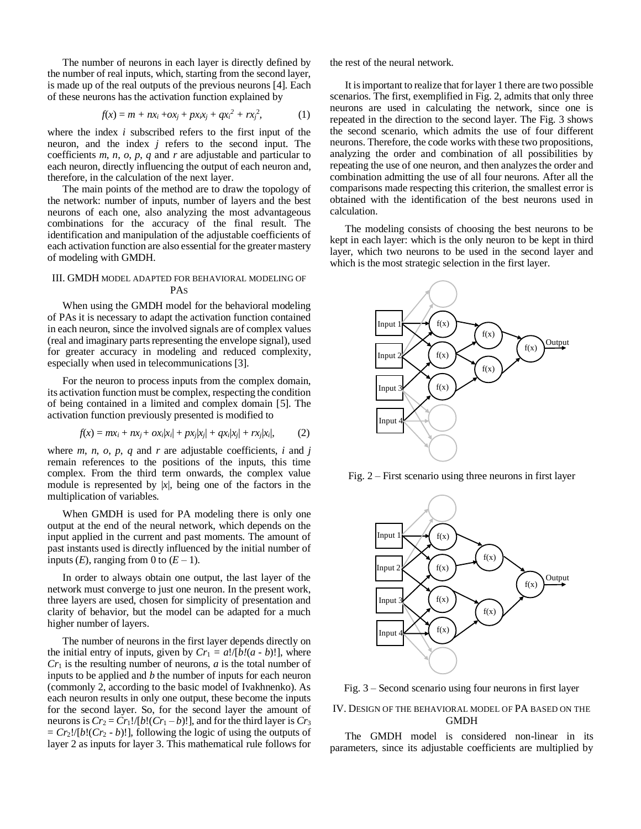The number of neurons in each layer is directly defined by the number of real inputs, which, starting from the second layer, is made up of the real outputs of the previous neurons [4]. Each of these neurons has the activation function explained by

$$
f(x) = m + nx_i + ox_j + px_ix_j + qx_i^2 + rx_j^2,
$$
 (1)

where the index *i* subscribed refers to the first input of the neuron, and the index *j* refers to the second input. The coefficients *m*, *n*, *o*, *p*, *q* and *r* are adjustable and particular to each neuron, directly influencing the output of each neuron and, therefore, in the calculation of the next layer.

The main points of the method are to draw the topology of the network: number of inputs, number of layers and the best neurons of each one, also analyzing the most advantageous combinations for the accuracy of the final result. The identification and manipulation of the adjustable coefficients of each activation function are also essential for the greater mastery of modeling with GMDH.

## III. GMDH MODEL ADAPTED FOR BEHAVIORAL MODELING OF PAS

When using the GMDH model for the behavioral modeling of PAs it is necessary to adapt the activation function contained in each neuron, since the involved signals are of complex values (real and imaginary parts representing the envelope signal), used for greater accuracy in modeling and reduced complexity, especially when used in telecommunications [3].

For the neuron to process inputs from the complex domain, its activation function must be complex, respecting the condition of being contained in a limited and complex domain [5]. The activation function previously presented is modified to

$$
f(x) = mx_i + nx_j + \alpha x_i |x_i| + px_j |x_j| + qx_i |x_j| + rx_j |x_i|,
$$
 (2)

where  $m$ ,  $n$ ,  $o$ ,  $p$ ,  $q$  and  $r$  are adjustable coefficients,  $i$  and  $j$ remain references to the positions of the inputs, this time complex. From the third term onwards, the complex value module is represented by  $|x|$ , being one of the factors in the multiplication of variables.

When GMDH is used for PA modeling there is only one output at the end of the neural network, which depends on the input applied in the current and past moments. The amount of past instants used is directly influenced by the initial number of inputs  $(E)$ , ranging from 0 to  $(E-1)$ .

In order to always obtain one output, the last layer of the network must converge to just one neuron. In the present work, three layers are used, chosen for simplicity of presentation and clarity of behavior, but the model can be adapted for a much higher number of layers.

The number of neurons in the first layer depends directly on the initial entry of inputs, given by  $Cr_1 = a!/[b!(a-b)!]$ , where *Cr*<sup>1</sup> is the resulting number of neurons, *a* is the total number of inputs to be applied and *b* the number of inputs for each neuron (commonly 2, according to the basic model of Ivakhnenko). As each neuron results in only one output, these become the inputs for the second layer. So, for the second layer the amount of neurons is  $Cr_2 = Cr_1!/[b!(Cr_1-b)!]$ , and for the third layer is  $Cr_3$  $= Cr_2!/[b!(Cr_2 - b)!]$ , following the logic of using the outputs of layer 2 as inputs for layer 3. This mathematical rule follows for the rest of the neural network.

It is important to realize that for layer 1 there are two possible scenarios. The first, exemplified in Fig. 2, admits that only three neurons are used in calculating the network, since one is repeated in the direction to the second layer. The Fig. 3 shows the second scenario, which admits the use of four different neurons. Therefore, the code works with these two propositions, analyzing the order and combination of all possibilities by repeating the use of one neuron, and then analyzes the order and combination admitting the use of all four neurons. After all the comparisons made respecting this criterion, the smallest error is obtained with the identification of the best neurons used in calculation.

The modeling consists of choosing the best neurons to be kept in each layer: which is the only neuron to be kept in third layer, which two neurons to be used in the second layer and which is the most strategic selection in the first layer.



Fig. 2 – First scenario using three neurons in first layer



Fig. 3 – Second scenario using four neurons in first layer

# IV. DESIGN OF THE BEHAVIORAL MODEL OF PA BASED ON THE GMDH

The GMDH model is considered non-linear in its parameters, since its adjustable coefficients are multiplied by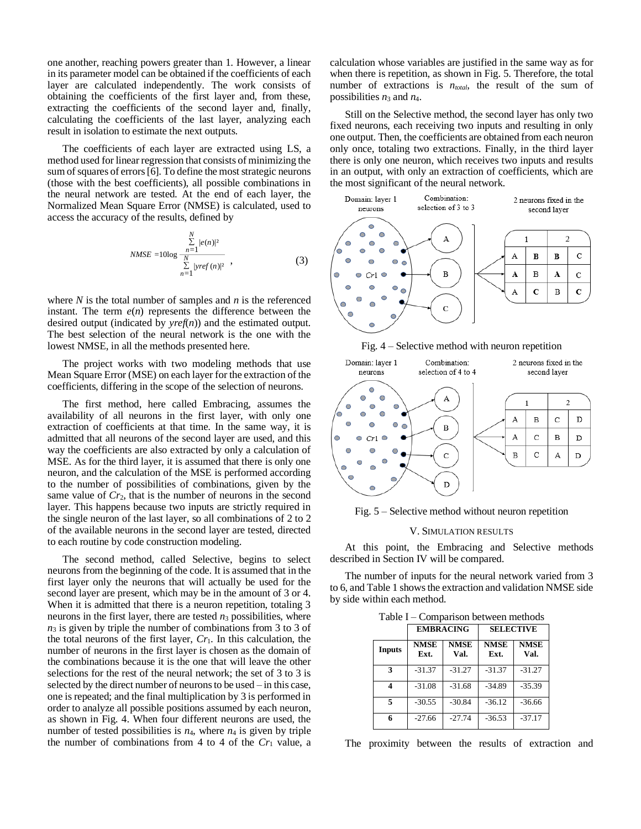one another, reaching powers greater than 1. However, a linear in its parameter model can be obtained if the coefficients of each layer are calculated independently. The work consists of obtaining the coefficients of the first layer and, from these, extracting the coefficients of the second layer and, finally, calculating the coefficients of the last layer, analyzing each result in isolation to estimate the next outputs.

The coefficients of each layer are extracted using LS, a method used for linear regression that consists of minimizing the sum of squares of errors [6]. To define the most strategic neurons (those with the best coefficients), all possible combinations in the neural network are tested. At the end of each layer, the Normalized Mean Square Error (NMSE) is calculated, used to access the accuracy of the results, defined by

$$
NMSE = 10\log \frac{\sum_{n=1}^{N} |e(n)|^2}{\sum_{n=1}^{N} |yref(n)|^2},
$$
\n(3)

where *N* is the total number of samples and *n* is the referenced instant. The term  $e(n)$  represents the difference between the desired output (indicated by *yref*(*n*)) and the estimated output. The best selection of the neural network is the one with the lowest NMSE, in all the methods presented here.

The project works with two modeling methods that use Mean Square Error (MSE) on each layer for the extraction of the coefficients, differing in the scope of the selection of neurons.

The first method, here called Embracing, assumes the availability of all neurons in the first layer, with only one extraction of coefficients at that time. In the same way, it is admitted that all neurons of the second layer are used, and this way the coefficients are also extracted by only a calculation of MSE. As for the third layer, it is assumed that there is only one neuron, and the calculation of the MSE is performed according to the number of possibilities of combinations, given by the same value of  $Cr_2$ , that is the number of neurons in the second layer. This happens because two inputs are strictly required in the single neuron of the last layer, so all combinations of 2 to 2 of the available neurons in the second layer are tested, directed to each routine by code construction modeling.

The second method, called Selective, begins to select neurons from the beginning of the code. It is assumed that in the first layer only the neurons that will actually be used for the second layer are present, which may be in the amount of 3 or 4. When it is admitted that there is a neuron repetition, totaling 3 neurons in the first layer, there are tested  $n_3$  possibilities, where *n*<sup>3</sup> is given by triple the number of combinations from 3 to 3 of the total neurons of the first layer, *Cr*1. In this calculation, the number of neurons in the first layer is chosen as the domain of the combinations because it is the one that will leave the other selections for the rest of the neural network; the set of 3 to 3 is selected by the direct number of neurons to be used – in this case, one is repeated; and the final multiplication by 3 is performed in order to analyze all possible positions assumed by each neuron, as shown in Fig. 4. When four different neurons are used, the number of tested possibilities is *n*4, where *n*<sup>4</sup> is given by triple the number of combinations from 4 to 4 of the  $Cr<sub>1</sub>$  value, a

calculation whose variables are justified in the same way as for when there is repetition, as shown in Fig. 5. Therefore, the total number of extractions is  $n_{total}$ , the result of the sum of possibilities  $n_3$  and  $n_4$ .

Still on the Selective method, the second layer has only two fixed neurons, each receiving two inputs and resulting in only one output. Then, the coefficients are obtained from each neuron only once, totaling two extractions. Finally, in the third layer there is only one neuron, which receives two inputs and results in an output, with only an extraction of coefficients, which are the most significant of the neural network.



Fig. 4 – Selective method with neuron repetition



Fig. 5 – Selective method without neuron repetition

## V. SIMULATION RESULTS

At this point, the Embracing and Selective methods described in Section IV will be compared.

The number of inputs for the neural network varied from 3 to 6, and Table 1 shows the extraction and validation NMSE side by side within each method.

| .<br>Companison between methods |                     |                     |                     |                     |
|---------------------------------|---------------------|---------------------|---------------------|---------------------|
|                                 | <b>EMBRACING</b>    |                     | <b>SELECTIVE</b>    |                     |
| <b>Inputs</b>                   | <b>NMSE</b><br>Ext. | <b>NMSE</b><br>Val. | <b>NMSE</b><br>Ext. | <b>NMSE</b><br>Val. |
| 3                               | $-31.37$            | $-31.27$            | $-31.37$            | $-31.27$            |
| 4                               | $-31.08$            | $-31.68$            | $-34.89$            | $-35.39$            |
| 5                               | $-30.55$            | $-30.84$            | $-36.12$            | $-36.66$            |

Table I – Comparison between methods

The proximity between the results of extraction and

**6** -27.66 -27.74 -36.53 -37.17